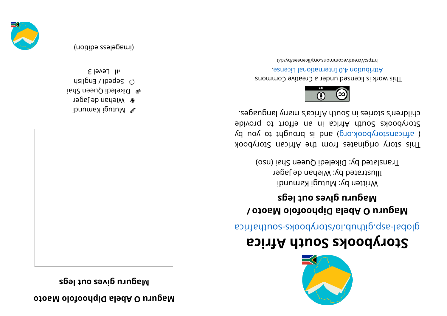**othero** *D* **Bela Diphopolo <b>Date** 

**sgel <sup>t</sup> uosevi g ur uga M**



- ibnumaX igutuM  $\mathscr{D}$
- *a* Miehan de Jager
- e Dikeledi Queen Shai  $\omega$  gebegi  $\chi$  ipedes
- $5$ ləvəl Jır

(imageless edition)





## **storybooks South Africa**

aci ri re abological anti-

## **/ ot oa Mol of oohpi Dal ebA Our uga M sgel <sup>t</sup> uosevi g ur uga M**

Written by: Mutugi Kamundi Illustrated by: Wiehan de Jager Translated by: Dikeledi Queen Shai (nso)

kood yoof a siginaar ah uri setenigiyo yoot sidT ( africanstorybook.org) and is brought to you by Storybooks South Africa in an effort to provide chilen's sional yang mahalika mahalika mahalika seba



This work is licensed under a Creative Commons . esnecial lanoit anternational License.

bttps://creativecommons.org/licenses/by/4.0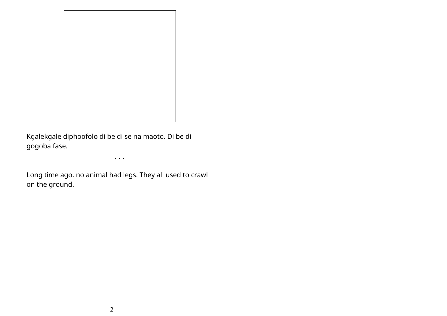

Kgalekgale diphoofolo di be di se na maoto. Di be di gogoba fase.

• • •

Long time ago, no animal had legs. They all used to crawl on the ground.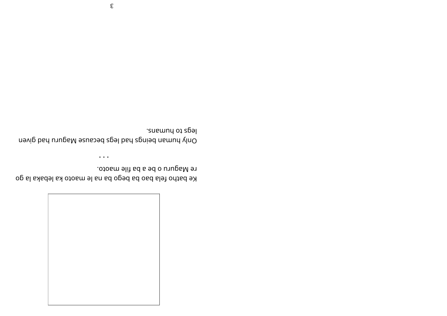

Ke batho fela bao ba bego ba na le maoto ka lebaka la go . oto am elif ad a bd o unugaM e $\gamma$ 

• • •

Ouly bey nevel gap a gam a dah usua dah usua dah daha dahasing dahasing dahasing dahasing dahasing dahasing da legs to humans.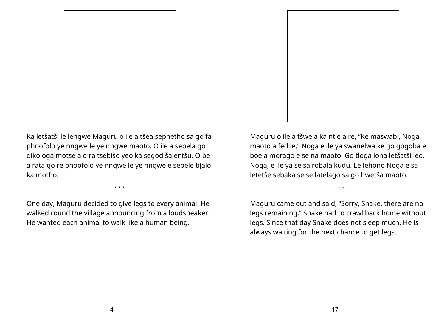

Ka letšatši le lengwe Maguru o ile a tšea sephetho sa go fa phoofolo ye nngwe le ye nngwe maoto. O ile a sepela go dikologa motse a dira tsebišo yeo ka segodišalentšu. O be a rata go re phoofolo ye nngwe le ye nngwe e sepele bjalo ka motho.

• • •

One day, Maguru decided to give legs to every animal. He walked round the village announcing from a loudspeaker. He wanted each animal to walk like a human being.

Maguru o ile a tšwela ka ntle a re, "Ke maswabi, Noga, maoto a fedile." Noga e ile ya swanelwa ke go gogoba e boela morago e se na maoto. Go tloga lona letšatši leo, Noga, e ile ya se sa robala kudu. Le lehono Noga e sa letetše sebaka se se latelago sa go hwetša maoto.

• • •

Maguru came out and said, "Sorry, Snake, there are no legs remaining." Snake had to crawl back home without legs. Since that day Snake does not sleep much. He is always waiting for the next chance to get legs.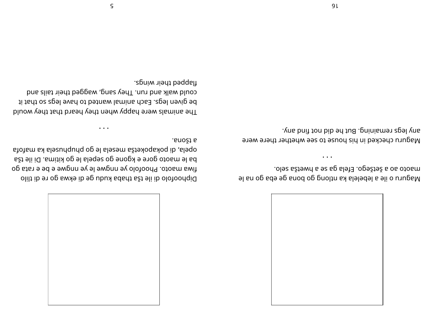

el an og aegelela ka mtlong go babe eg and en elle van ele .ol es aštšego. Efela ga se a hwetša selo.

• • •

Maguru checked in his house to see whether there were any legs remaining. But he did non than we

Diphoofolo di ile tša thaba kudu ge di ekwa go re di tlilo fiwa maoto. Phoofolo ye nayane le ye nayan e be rata go ba le maoto gore e kgone go sepela le go kitima. Di ile tša af of a mak al espanyologie po belo al espanyologie espanyologie espanyologie es . anošt a

• • •

The animals were happy when they heard that that yeho would be given legs. Each animal wanted to have legs so that it could walk and run. They saids we behin a slight and a slight and

. agniw niedt beqqalt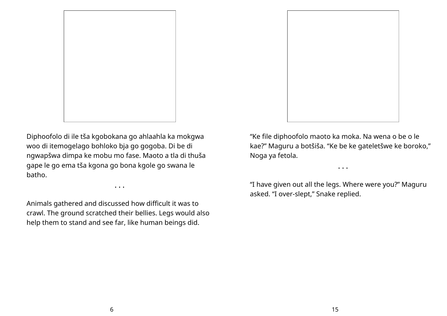

Diphoofolo di ile tša kgobokana go ahlaahla ka mokgwa woo di itemogelago bohloko bja go gogoba. Di be di ngwapšwa dimpa ke mobu mo fase. Maoto a tla di thuša gape le go ema tša kgona go bona kgole go swana le batho.

• • •

Animals gathered and discussed how difficult it was to crawl. The ground scratched their bellies. Legs would also help them to stand and see far, like human beings did.



"Ke file diphoofolo maoto ka moka. Na wena o be o le kae?" Maguru a botšiša. "Ke be ke gateletšwe ke boroko," Noga ya fetola.

• • •

"I have given out all the legs. Where were you?" Maguru asked. "I over-slept," Snake replied.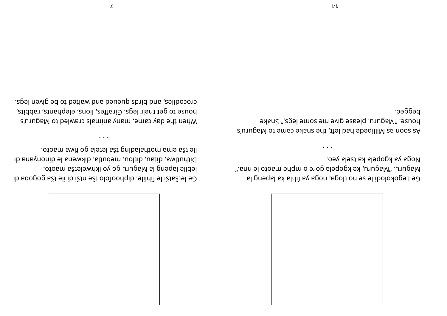

Ge Legokolodi le se no tloga, agon, ago la poloxogel e G Maguru. "Ang al wa mo bela gore o mphe maoto le nna," .oəy aləzt ax aləqopx ay ago M

• • •

As soon as Milliped bad heft, the saken eame to Maguru's hones ", Maguru, please give me some legs," Snake

pegged.

When the day came, many animals crawled to Maguru's house to get their legs. Giraffes, lions, elephants, rabbits, crocodiles, and bridg a being but a waited to be given legs.

Ge letšatši le liille, alofoodqib elildii el ižtsžiel eD

 $\alpha$ ib susynonip alt ang meputla 'elah mendi di pemanang di

• • •

lebile lapeng la Maguru go yo ikhweletša maoto.

.otosm swit og sletel sžt gnibsladtom sme sżt eli

 $\mathcal{L}$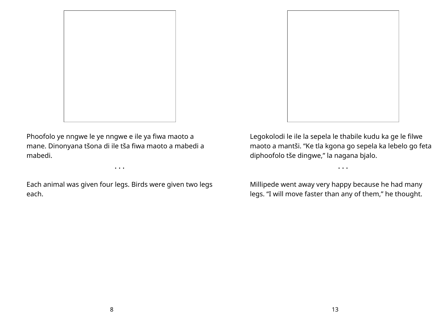

Phoofolo ye nngwe le ye nngwe e ile ya fiwa maoto a mane. Dinonyana tšona di ile tša fiwa maoto a mabedi a mabedi.

Each animal was given four legs. Birds were given two legs each.

• • •



Legokolodi le ile la sepela le thabile kudu ka ge le filwe maoto a mantši. "Ke tla kgona go sepela ka lebelo go feta diphoofolo tše dingwe," la nagana bjalo.

• • •

Millipede went away very happy because he had many legs. "I will move faster than any of them," he thought.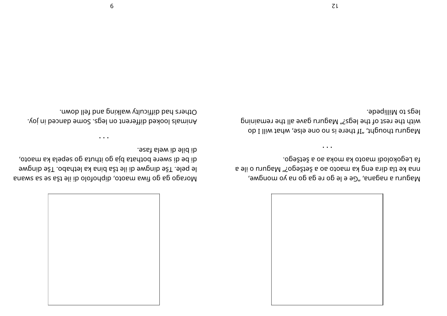

, эм $\alpha$ ио мол ви об еб эт ор э э ээ)", аларан а илира $M$ a eli o uruga M"? ogešt a oa otoam ax gne arib alt e a fa Legokolodi maoto ka moka ao a šetšego.

• • •

Maguru thought, "If there is no one else, what will I do with the rest of the legs?" Maguru gave all the remaining legs to Millipede.

ana ws of a by copies with depending on the results of the sum sum and all of  $\alpha$  of  $\alpha$ e pele. Tše dingwe di ile tša bina ka lethabo. Tše dingwe di be di swere bothata bja go ithuta go sepela ka maoto,

. esat al ewi b elid ib

• • •

. yoj ni beonab emoca. spel no treneti blokol slaminA Others had difficulty walking and fell down.